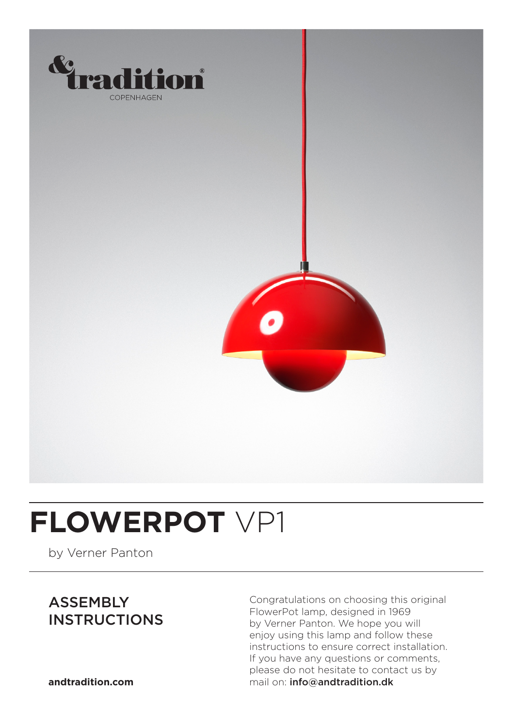

### **FLOWERPOT** VP1

by Verner Panton

#### ASSEMBLY **INSTRUCTIONS**

Congratulations on choosing this original FlowerPot lamp, designed in 1969 by Verner Panton. We hope you will enjoy using this lamp and follow these instructions to ensure correct installation. If you have any questions or comments, please do not hesitate to contact us by **andtradition.com** mail on: info@andtradition.dk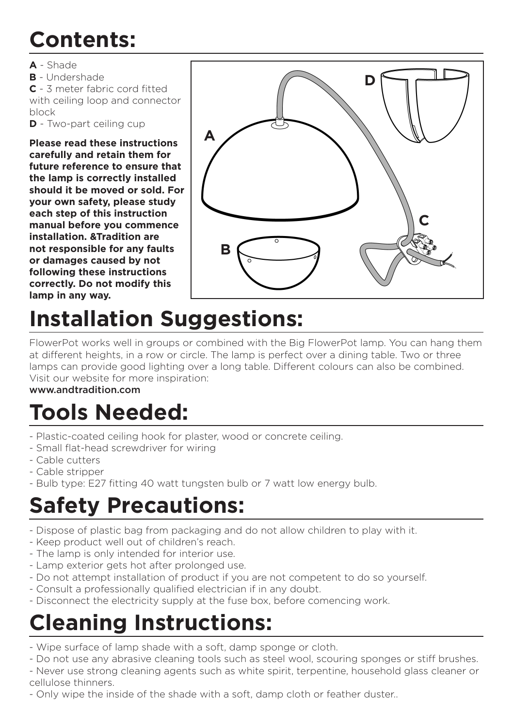#### **Contents:**

- **A** Shade
- **B** Undershade

**C** - 3 meter fabric cord fitted with ceiling loop and connector

block

**D** - Two-part ceiling cup

**Please read these instructions carefully and retain them for future reference to ensure that the lamp is correctly installed should it be moved or sold. For your own safety, please study each step of this instruction manual before you commence installation. &Tradition are not responsible for any faults or damages caused by not following these instructions correctly. Do not modify this lamp in any way.**



### **Installation Suggestions:**

FlowerPot works well in groups or combined with the Big FlowerPot lamp. You can hang them at different heights, in a row or circle. The lamp is perfect over a dining table. Two or three lamps can provide good lighting over a long table. Different colours can also be combined. Visit our website for more inspiration:

#### www.andtradition.com

### **Tools Needed:**

- Plastic-coated ceiling hook for plaster, wood or concrete ceiling.
- Small flat-head screwdriver for wiring
- Cable cutters
- Cable stripper
- Bulb type: E27 fitting 40 watt tungsten bulb or 7 watt low energy bulb.

### **Safety Precautions:**

- Dispose of plastic bag from packaging and do not allow children to play with it.
- Keep product well out of children's reach.
- The lamp is only intended for interior use.
- Lamp exterior gets hot after prolonged use.
- Do not attempt installation of product if you are not competent to do so yourself.
- Consult a professionally qualified electrician if in any doubt.
- Disconnect the electricity supply at the fuse box, before comencing work.

#### **Cleaning Instructions:**

- Wipe surface of lamp shade with a soft, damp sponge or cloth.
- Do not use any abrasive cleaning tools such as steel wool, scouring sponges or stiff brushes.

- Never use strong cleaning agents such as white spirit, terpentine, household glass cleaner or cellulose thinners.

- Only wipe the inside of the shade with a soft, damp cloth or feather duster..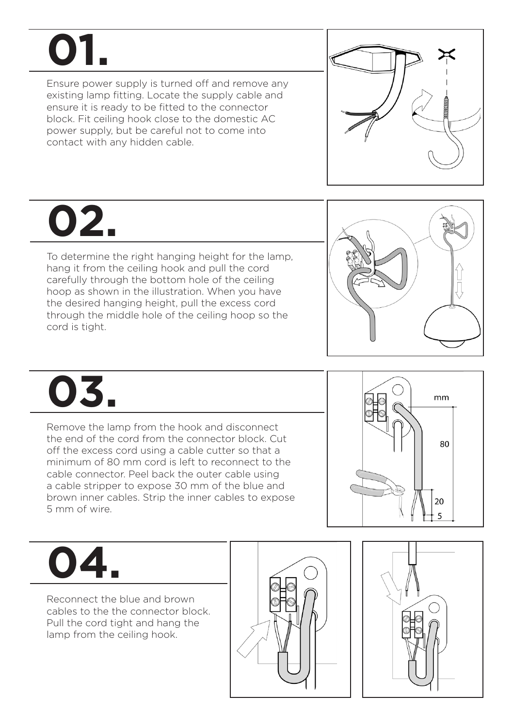# **01.**

Ensure power supply is turned off and remove any existing lamp fitting. Locate the supply cable and ensure it is ready to be fitted to the connector block. Fit ceiling hook close to the domestic AC power supply, but be careful not to come into contact with any hidden cable.



## **02.**

To determine the right hanging height for the lamp, hang it from the ceiling hook and pull the cord carefully through the bottom hole of the ceiling hoop as shown in the illustration. When you have the desired hanging height, pull the excess cord through the middle hole of the ceiling hoop so the cord is tight.



# **03.**

Remove the lamp from the hook and disconnect the end of the cord from the connector block. Cut off the excess cord using a cable cutter so that a minimum of 80 mm cord is left to reconnect to the cable connector. Peel back the outer cable using a cable stripper to expose 30 mm of the blue and brown inner cables. Strip the inner cables to expose 5 mm of wire.



# **04.**

Reconnect the blue and brown cables to the the connector block. Pull the cord tight and hang the lamp from the ceiling hook.